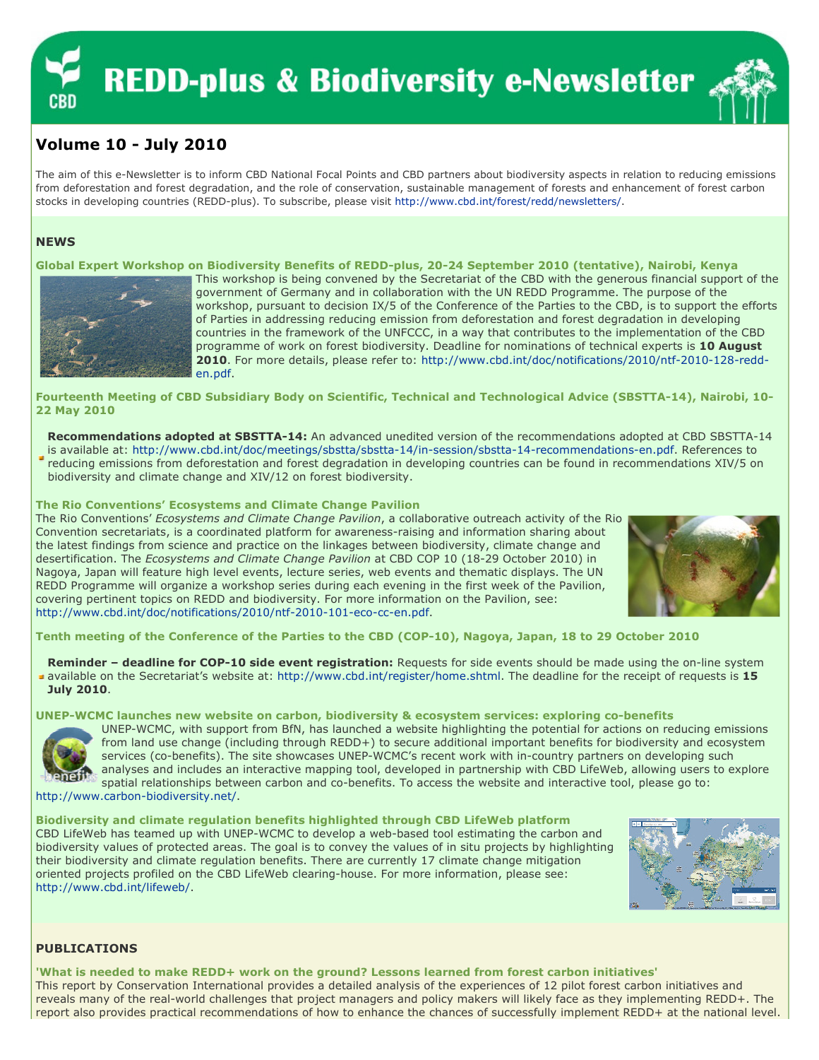# **REDD-plus & Biodiversity e-Newsletter**



# Volume 10 - July 2010

The aim of this e-Newsletter is to inform CBD National Focal Points and CBD partners about biodiversity aspects in relation to reducing emissions from deforestation and forest degradation, and the role of conservation, sustainable management of forests and enhancement of forest carbon stocks in developing countries (REDD-plus). To subscribe, please visit http://www.cbd.int/forest/redd/newsletters/.

# **NEWS**

Global Expert Workshop on Biodiversity Benefits of REDD-plus, 20-24 September 2010 (tentative), Nairobi, Kenya



This workshop is being convened by the Secretariat of the CBD with the generous financial support of the government of Germany and in collaboration with the UN REDD Programme. The purpose of the workshop, pursuant to decision IX/5 of the Conference of the Parties to the CBD, is to support the efforts of Parties in addressing reducing emission from deforestation and forest degradation in developing countries in the framework of the UNFCCC, in a way that contributes to the implementation of the CBD programme of work on forest biodiversity. Deadline for nominations of technical experts is 10 August 2010. For more details, please refer to: http://www.cbd.int/doc/notifications/2010/ntf-2010-128-redden.pdf.

Fourteenth Meeting of CBD Subsidiary Body on Scientific, Technical and Technological Advice (SBSTTA-14), Nairobi, 10- 22 May 2010

Recommendations adopted at SBSTTA-14: An advanced unedited version of the recommendations adopted at CBD SBSTTA-14 is available at: http://www.cbd.int/doc/meetings/sbstta/sbstta-14/in-session/sbstta-14-recommendations-en.pdf. References to

reducing emissions from deforestation and forest degradation in developing countries can be found in recommendations XIV/5 on biodiversity and climate change and XIV/12 on forest biodiversity.

The Rio Conventions' Ecosystems and Climate Change Pavilion

The Rio Conventions' Ecosystems and Climate Change Pavilion, a collaborative outreach activity of the Rio Convention secretariats, is a coordinated platform for awareness-raising and information sharing about the latest findings from science and practice on the linkages between biodiversity, climate change and desertification. The Ecosystems and Climate Change Pavilion at CBD COP 10 (18-29 October 2010) in Nagoya, Japan will feature high level events, lecture series, web events and thematic displays. The UN REDD Programme will organize a workshop series during each evening in the first week of the Pavilion, covering pertinent topics on REDD and biodiversity. For more information on the Pavilion, see: http://www.cbd.int/doc/notifications/2010/ntf-2010-101-eco-cc-en.pdf.



Tenth meeting of the Conference of the Parties to the CBD (COP-10), Nagoya, Japan, 18 to 29 October 2010

Reminder - deadline for COP-10 side event registration: Requests for side events should be made using the on-line system available on the Secretariat's website at: http://www.cbd.int/register/home.shtml. The deadline for the receipt of requests is 15 July 2010.

UNEP-WCMC launches new website on carbon, biodiversity & ecosystem services: exploring co-benefits



UNEP-WCMC, with support from BfN, has launched a website highlighting the potential for actions on reducing emissions from land use change (including through REDD+) to secure additional important benefits for biodiversity and ecosystem services (co-benefits). The site showcases UNEP-WCMC's recent work with in-country partners on developing such analyses and includes an interactive mapping tool, developed in partnership with CBD LifeWeb, allowing users to explore spatial relationships between carbon and co-benefits. To access the website and interactive tool, please go to:

http://www.carbon-biodiversity.net/.

Biodiversity and climate regulation benefits highlighted through CBD LifeWeb platform CBD LifeWeb has teamed up with UNEP-WCMC to develop a web-based tool estimating the carbon and biodiversity values of protected areas. The goal is to convey the values of in situ projects by highlighting their biodiversity and climate regulation benefits. There are currently 17 climate change mitigation oriented projects profiled on the CBD LifeWeb clearing-house. For more information, please see: http://www.cbd.int/lifeweb/.



# PUBLICATIONS

'What is needed to make REDD+ work on the ground? Lessons learned from forest carbon initiatives' This report by Conservation International provides a detailed analysis of the experiences of 12 pilot forest carbon initiatives and reveals many of the real-world challenges that project managers and policy makers will likely face as they implementing REDD+. The report also provides practical recommendations of how to enhance the chances of successfully implement REDD+ at the national level.